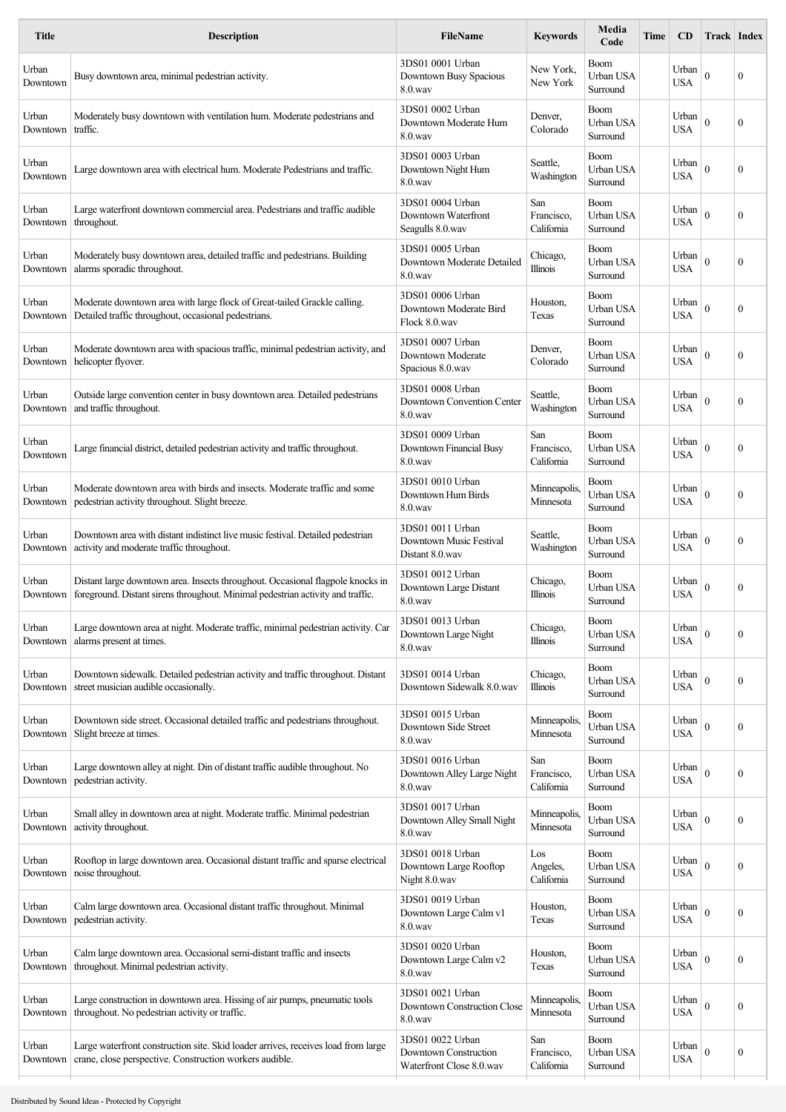| <b>Title</b>      | <b>Description</b>                                                                                                                                                | <b>FileName</b>                                                       | <b>Keywords</b>                 | Media<br>Code                        | Time | CD                  | <b>Track Index</b> |                  |
|-------------------|-------------------------------------------------------------------------------------------------------------------------------------------------------------------|-----------------------------------------------------------------------|---------------------------------|--------------------------------------|------|---------------------|--------------------|------------------|
| Urban<br>Downtown | Busy downtown area, minimal pedestrian activity.                                                                                                                  | 3DS01 0001 Urban<br>Downtown Busy Spacious<br>8.0.wav                 | New York.<br>New York           | Boom<br>Urban USA<br>Surround        |      | Urban<br><b>USA</b> | $\theta$           | $\mathbf{0}$     |
| Urban<br>Downtown | Moderately busy downtown with ventilation hum. Moderate pedestrians and<br>traffic.                                                                               | 3DS01 0002 Urban<br>Downtown Moderate Hum<br>$8.0$ .wav               | Denver,<br>Colorado             | Boom<br>Urban USA<br>Surround        |      | Urban<br><b>USA</b> | $\mathbf{0}$       | $\mathbf{0}$     |
| Urban<br>Downtown | Large downtown area with electrical hum. Moderate Pedestrians and traffic.                                                                                        | 3DS01 0003 Urban<br>Downtown Night Hum<br>$8.0$ .wav                  | Seattle,<br>Washington          | Boom<br>Urban USA<br>Surround        |      | Urban<br>USA        | $\theta$           | $\mathbf{0}$     |
| Urban<br>Downtown | Large waterfront downtown commercial area. Pedestrians and traffic audible<br>throughout.                                                                         | 3DS01 0004 Urban<br>Downtown Waterfront<br>Seagulls 8.0.wav           | San<br>Francisco,<br>California | Boom<br>Urban USA<br>Surround        |      | Urban<br><b>USA</b> | $\mathbf{0}$       | $\mathbf{0}$     |
| Urban<br>Downtown | Moderately busy downtown area, detailed traffic and pedestrians. Building<br>alarms sporadic throughout.                                                          | 3DS01 0005 Urban<br>Downtown Moderate Detailed<br>8.0.wav             | Chicago,<br><b>Illinois</b>     | <b>Boom</b><br>Urban USA<br>Surround |      | Urban<br><b>USA</b> | $\mathbf{0}$       | $\mathbf{0}$     |
| Urban<br>Downtown | Moderate downtown area with large flock of Great-tailed Grackle calling.<br>Detailed traffic throughout, occasional pedestrians.                                  | 3DS01 0006 Urban<br>Downtown Moderate Bird<br>Flock 8.0.wav           | Houston,<br>Texas               | <b>Boom</b><br>Urban USA<br>Surround |      | Urban<br>USA        | $\theta$           | $\mathbf{0}$     |
| Urban<br>Downtown | Moderate downtown area with spacious traffic, minimal pedestrian activity, and<br>helicopter flyover.                                                             | 3DS01 0007 Urban<br>Downtown Moderate<br>Spacious 8.0.wav             | Denver.<br>Colorado             | <b>Boom</b><br>Urban USA<br>Surround |      | Urban<br>USA        | $\mathbf{0}$       | $\mathbf{0}$     |
| Urban<br>Downtown | Outside large convention center in busy downtown area. Detailed pedestrians<br>and traffic throughout.                                                            | 3DS01 0008 Urban<br>Downtown Convention Center<br>8.0.wav             | Seattle,<br>Washington          | <b>Boom</b><br>Urban USA<br>Surround |      | Urban<br><b>USA</b> | $\mathbf{0}$       | $\mathbf{0}$     |
| Urban<br>Downtown | Large financial district, detailed pedestrian activity and traffic throughout.                                                                                    | 3DS01 0009 Urban<br>Downtown Financial Busy<br>$8.0$ .wav             | San<br>Francisco,<br>California | <b>Boom</b><br>Urban USA<br>Surround |      | Urban<br><b>USA</b> | $\mathbf{0}$       | $\mathbf{0}$     |
| Urban<br>Downtown | Moderate downtown area with birds and insects. Moderate traffic and some<br>pedestrian activity throughout. Slight breeze.                                        | 3DS01 0010 Urban<br>Downtown Hum Birds<br>$8.0$ .wav                  | Minneapolis<br>Minnesota        | Boom<br>Urban USA<br>Surround        |      | Urban<br>USA        | $\mathbf{0}$       | $\mathbf{0}$     |
| Urban<br>Downtown | Downtown area with distant indistinct live music festival. Detailed pedestrian<br>activity and moderate traffic throughout.                                       | 3DS01 0011 Urban<br>Downtown Music Festival<br>Distant 8.0.wav        | Seattle,<br>Washington          | Boom<br>Urban USA<br>Surround        |      | Urban<br>USA        | $\theta$           | $\mathbf{0}$     |
| Urban<br>Downtown | Distant large downtown area. Insects throughout. Occasional flagpole knocks in<br>foreground. Distant sirens throughout. Minimal pedestrian activity and traffic. | 3DS01 0012 Urban<br>Downtown Large Distant<br>$8.0$ .wav              | Chicago,<br>Illinois            | Boom<br>Urban USA<br>Surround        |      | Urban<br>USA        | $\mathbf{0}$       | 0                |
| Urban<br>Downtown | Large downtown area at night. Moderate traffic, minimal pedestrian activity. Car<br>alarms present at times.                                                      | 3DS01 0013 Urban<br>Downtown Large Night<br>$8.0$ .wav                | Chicago,<br><b>Illinois</b>     | Boom<br>Urban USA<br>Surround        |      | Urban<br><b>USA</b> | $\mathbf{0}$       | 0                |
| Urban<br>Downtown | Downtown sidewalk. Detailed pedestrian activity and traffic throughout. Distant<br>street musician audible occasionally.                                          | 3DS01 0014 Urban<br>Downtown Sidewalk 8.0.wav                         | Chicago,<br>Illinois            | Boom<br>Urban USA<br>Surround        |      | Urban<br>USA        | $\boldsymbol{0}$   | $\boldsymbol{0}$ |
| Urban<br>Downtown | Downtown side street. Occasional detailed traffic and pedestrians throughout.<br>Slight breeze at times.                                                          | 3DS01 0015 Urban<br>Downtown Side Street<br>8.0.wav                   | Minneapolis<br>Minnesota        | Boom<br>Urban USA<br>Surround        |      | Urban<br>USA        | $\mathbf{0}$       | 0                |
| Urban<br>Downtown | Large downtown alley at night. Din of distant traffic audible throughout. No<br>pedestrian activity.                                                              | 3DS01 0016 Urban<br>Downtown Alley Large Night<br>$8.0$ .wav          | San<br>Francisco,<br>California | Boom<br>Urban USA<br>Surround        |      | Urban<br><b>USA</b> | $\mathbf{0}$       | 0                |
| Urban<br>Downtown | Small alley in downtown area at night. Moderate traffic. Minimal pedestrian<br>activity throughout.                                                               | 3DS01 0017 Urban<br>Downtown Alley Small Night<br>8.0.wav             | Minneapolis<br>Minnesota        | Boom<br>Urban USA<br>Surround        |      | Urban<br><b>USA</b> | $\mathbf{0}$       | 0                |
| Urban<br>Downtown | Rooftop in large downtown area. Occasional distant traffic and sparse electrical<br>noise throughout.                                                             | 3DS01 0018 Urban<br>Downtown Large Rooftop<br>Night 8.0.wav           | Los<br>Angeles,<br>California   | Boom<br>Urban USA<br>Surround        |      | Urban<br>USA        | $\mathbf{0}$       | $\boldsymbol{0}$ |
| Urban<br>Downtown | Calm large downtown area. Occasional distant traffic throughout. Minimal<br>pedestrian activity.                                                                  | 3DS01 0019 Urban<br>Downtown Large Calm v1<br>8.0.wav                 | Houston,<br>Texas               | Boom<br>Urban USA<br>Surround        |      | Urban<br><b>USA</b> | $\boldsymbol{0}$   | $\mathbf{0}$     |
| Urban<br>Downtown | Calm large downtown area. Occasional semi-distant traffic and insects<br>throughout. Minimal pedestrian activity.                                                 | 3DS01 0020 Urban<br>Downtown Large Calm v2<br>8.0.wav                 | Houston,<br>Texas               | <b>Boom</b><br>Urban USA<br>Surround |      | Urban<br>USA        | $\boldsymbol{0}$   | 0                |
| Urban<br>Downtown | Large construction in downtown area. Hissing of air pumps, pneumatic tools<br>throughout. No pedestrian activity or traffic.                                      | 3DS01 0021 Urban<br>Downtown Construction Close<br>8.0.wav            | Minneapolis.<br>Minnesota       | Boom<br>Urban USA<br>Surround        |      | Urban<br><b>USA</b> | $\theta$           | 0                |
| Urban<br>Downtown | Large waterfront construction site. Skid loader arrives, receives load from large<br>crane, close perspective. Construction workers audible.                      | 3DS01 0022 Urban<br>Downtown Construction<br>Waterfront Close 8.0.wav | San<br>Francisco,<br>California | <b>Boom</b><br>Urban USA<br>Surround |      | Urban<br>USA        | $\theta$           | $\mathbf{0}$     |
|                   |                                                                                                                                                                   |                                                                       |                                 |                                      |      |                     |                    |                  |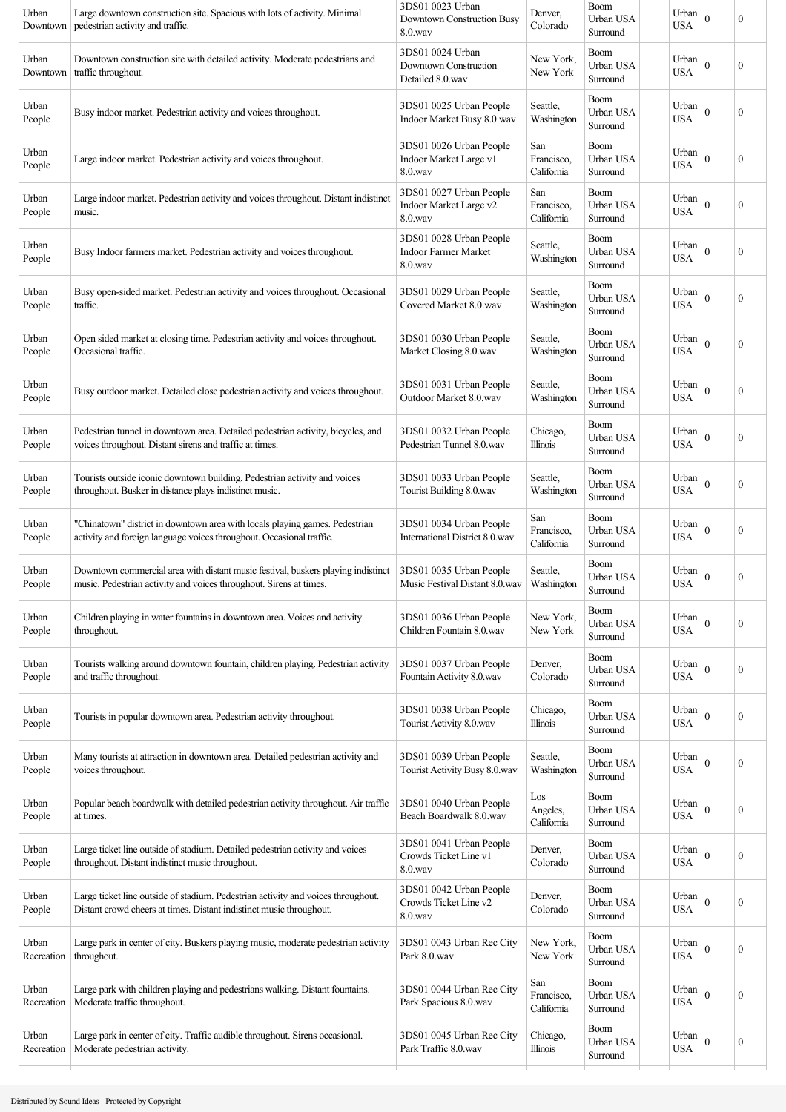| Urban<br>Downtown   | Large downtown construction site. Spacious with lots of activity. Minimal<br>pedestrian activity and traffic.                                           | 3DS01 0023 Urban<br>Downtown Construction Busy<br>$8.0$ .wav      | Denver,<br>Colorado             | <b>Boom</b><br>Urban USA<br>Surround | Urban<br><b>USA</b> | $\mathbf{0}$ | $\boldsymbol{0}$ |
|---------------------|---------------------------------------------------------------------------------------------------------------------------------------------------------|-------------------------------------------------------------------|---------------------------------|--------------------------------------|---------------------|--------------|------------------|
| Urban<br>Downtown   | Downtown construction site with detailed activity. Moderate pedestrians and<br>traffic throughout.                                                      | 3DS01 0024 Urban<br>Downtown Construction<br>Detailed 8.0.wav     | New York,<br>New York           | Boom<br>Urban USA<br>Surround        | Urban<br><b>USA</b> | $\mathbf{0}$ | $\boldsymbol{0}$ |
| Urban<br>People     | Busy indoor market. Pedestrian activity and voices throughout.                                                                                          | 3DS01 0025 Urban People<br>Indoor Market Busy 8.0.wav             | Seattle,<br>Washington          | <b>Boom</b><br>Urban USA<br>Surround | Urban<br>USA        | $\mathbf{0}$ | $\boldsymbol{0}$ |
| Urban<br>People     | Large indoor market. Pedestrian activity and voices throughout.                                                                                         | 3DS01 0026 Urban People<br>Indoor Market Large v1<br>$8.0$ .wav   | San<br>Francisco,<br>California | Boom<br>Urban USA<br>Surround        | Urban<br>USA        | $\mathbf{0}$ | $\boldsymbol{0}$ |
| Urban<br>People     | Large indoor market. Pedestrian activity and voices throughout. Distant indistinct<br>music.                                                            | 3DS01 0027 Urban People<br>Indoor Market Large v2<br>$8.0$ .wav   | San<br>Francisco,<br>California | Boom<br>Urban USA<br>Surround        | Urban<br><b>USA</b> | $\theta$     | $\boldsymbol{0}$ |
| Urban<br>People     | Busy Indoor farmers market. Pedestrian activity and voices throughout.                                                                                  | 3DS01 0028 Urban People<br><b>Indoor Farmer Market</b><br>8.0.wav | Seattle,<br>Washington          | Boom<br>Urban USA<br>Surround        | Urban<br><b>USA</b> | $\theta$     | $\boldsymbol{0}$ |
| Urban<br>People     | Busy open-sided market. Pedestrian activity and voices throughout. Occasional<br>traffic.                                                               | 3DS01 0029 Urban People<br>Covered Market 8.0.wav                 | Seattle,<br>Washington          | Boom<br>Urban USA<br>Surround        | Urban<br><b>USA</b> | $\theta$     | 0                |
| Urban<br>People     | Open sided market at closing time. Pedestrian activity and voices throughout.<br>Occasional traffic.                                                    | 3DS01 0030 Urban People<br>Market Closing 8.0.wav                 | Seattle,<br>Washington          | Boom<br>Urban USA<br>Surround        | Urban<br><b>USA</b> | $\theta$     | $\mathbf{0}$     |
| Urban<br>People     | Busy outdoor market. Detailed close pedestrian activity and voices throughout.                                                                          | 3DS01 0031 Urban People<br>Outdoor Market 8.0.wav                 | Seattle,<br>Washington          | <b>Boom</b><br>Urban USA<br>Surround | Urban<br><b>USA</b> | $\mathbf{0}$ | $\boldsymbol{0}$ |
| Urban<br>People     | Pedestrian tunnel in downtown area. Detailed pedestrian activity, bicycles, and<br>voices throughout. Distant sirens and traffic at times.              | 3DS01 0032 Urban People<br>Pedestrian Tunnel 8.0.wav              | Chicago,<br>Illinois            | Boom<br>Urban USA<br>Surround        | Urban<br><b>USA</b> | $\mathbf{0}$ | $\boldsymbol{0}$ |
| Urban<br>People     | Tourists outside iconic downtown building. Pedestrian activity and voices<br>throughout. Busker in distance plays indistinct music.                     | 3DS01 0033 Urban People<br>Tourist Building 8.0.wav               | Seattle,<br>Washington          | Boom<br>Urban USA<br>Surround        | Urban<br>USA        | $\mathbf{0}$ | 0                |
| Urban<br>People     | "Chinatown" district in downtown area with locals playing games. Pedestrian<br>activity and foreign language voices throughout. Occasional traffic.     | 3DS01 0034 Urban People<br>International District 8.0.wav         | San<br>Francisco,<br>California | Boom<br>Urban USA<br>Surround        | Urban<br><b>USA</b> | $\Omega$     | $\boldsymbol{0}$ |
| Urban<br>People     | Downtown commercial area with distant music festival, buskers playing indistinct<br>music. Pedestrian activity and voices throughout. Sirens at times.  | 3DS01 0035 Urban People<br>Music Festival Distant 8.0.wav         | Seattle,<br>Washington          | Boom<br>Urban USA<br>Surround        | Urban<br><b>USA</b> | $\mathbf{0}$ | $\boldsymbol{0}$ |
| Urban<br>People     | Children playing in water fountains in downtown area. Voices and activity<br>throughout.                                                                | 3DS01 0036 Urban People<br>Children Fountain 8.0.wav              | New York,<br>New York           | Boom<br>Urban USA<br>Surround        | Urban<br><b>USA</b> | $\theta$     | $\boldsymbol{0}$ |
| Urban<br>People     | Tourists walking around downtown fountain, children playing. Pedestrian activity<br>and traffic throughout.                                             | 3DS01 0037 Urban People<br>Fountain Activity 8.0.wav              | Denver,<br>Colorado             | <b>Boom</b><br>Urban USA<br>Surround | Urban<br><b>USA</b> | $\theta$     | $\boldsymbol{0}$ |
| Urban<br>People     | Tourists in popular downtown area. Pedestrian activity throughout.                                                                                      | 3DS01 0038 Urban People<br>Tourist Activity 8.0.wav               | Chicago,<br>Illinois            | Boom<br>Urban USA<br>Surround        | Urban<br><b>USA</b> | $\theta$     | $\boldsymbol{0}$ |
| Urban<br>People     | Many tourists at attraction in downtown area. Detailed pedestrian activity and<br>voices throughout.                                                    | 3DS01 0039 Urban People<br>Tourist Activity Busy 8.0.wav          | Seattle,<br>Washington          | <b>Boom</b><br>Urban USA<br>Surround | Urban<br><b>USA</b> | $\mathbf{0}$ | $\boldsymbol{0}$ |
| Urban<br>People     | Popular beach boardwalk with detailed pedestrian activity throughout. Air traffic<br>at times.                                                          | 3DS01 0040 Urban People<br>Beach Boardwalk 8.0.wav                | Los<br>Angeles,<br>California   | <b>Boom</b><br>Urban USA<br>Surround | Urban<br><b>USA</b> | $\mathbf{0}$ | $\boldsymbol{0}$ |
| Urban<br>People     | Large ticket line outside of stadium. Detailed pedestrian activity and voices<br>throughout. Distant indistinct music throughout.                       | 3DS01 0041 Urban People<br>Crowds Ticket Line v1<br>$8.0$ way     | Denver,<br>Colorado             | Boom<br>Urban USA<br>Surround        | Urban<br>USA        | $\mathbf{0}$ | 0                |
| Urban<br>People     | Large ticket line outside of stadium. Pedestrian activity and voices throughout.<br>Distant crowd cheers at times. Distant indistinct music throughout. | 3DS01 0042 Urban People<br>Crowds Ticket Line v2<br>$8.0$ .wav    | Denver,<br>Colorado             | <b>Boom</b><br>Urban USA<br>Surround | Urban<br><b>USA</b> | $\Omega$     | $\boldsymbol{0}$ |
| Urban<br>Recreation | Large park in center of city. Buskers playing music, moderate pedestrian activity<br>throughout.                                                        | 3DS01 0043 Urban Rec City<br>Park 8.0.wav                         | New York,<br>New York           | Boom<br>Urban USA<br>Surround        | Urban<br><b>USA</b> | $\theta$     | $\boldsymbol{0}$ |
| Urban<br>Recreation | Large park with children playing and pedestrians walking. Distant fountains.<br>Moderate traffic throughout.                                            | 3DS01 0044 Urban Rec City<br>Park Spacious 8.0.wav                | San<br>Francisco,<br>California | <b>Boom</b><br>Urban USA<br>Surround | Urban<br><b>USA</b> | $\theta$     | $\boldsymbol{0}$ |
| Urban<br>Recreation | Large park in center of city. Traffic audible throughout. Sirens occasional.<br>Moderate pedestrian activity.                                           | 3DS01 0045 Urban Rec City<br>Park Traffic 8.0.wav                 | Chicago,<br><b>Illinois</b>     | Boom<br>Urban USA<br>Surround        | Urban<br><b>USA</b> | $\Omega$     | $\boldsymbol{0}$ |
|                     |                                                                                                                                                         |                                                                   |                                 |                                      |                     |              |                  |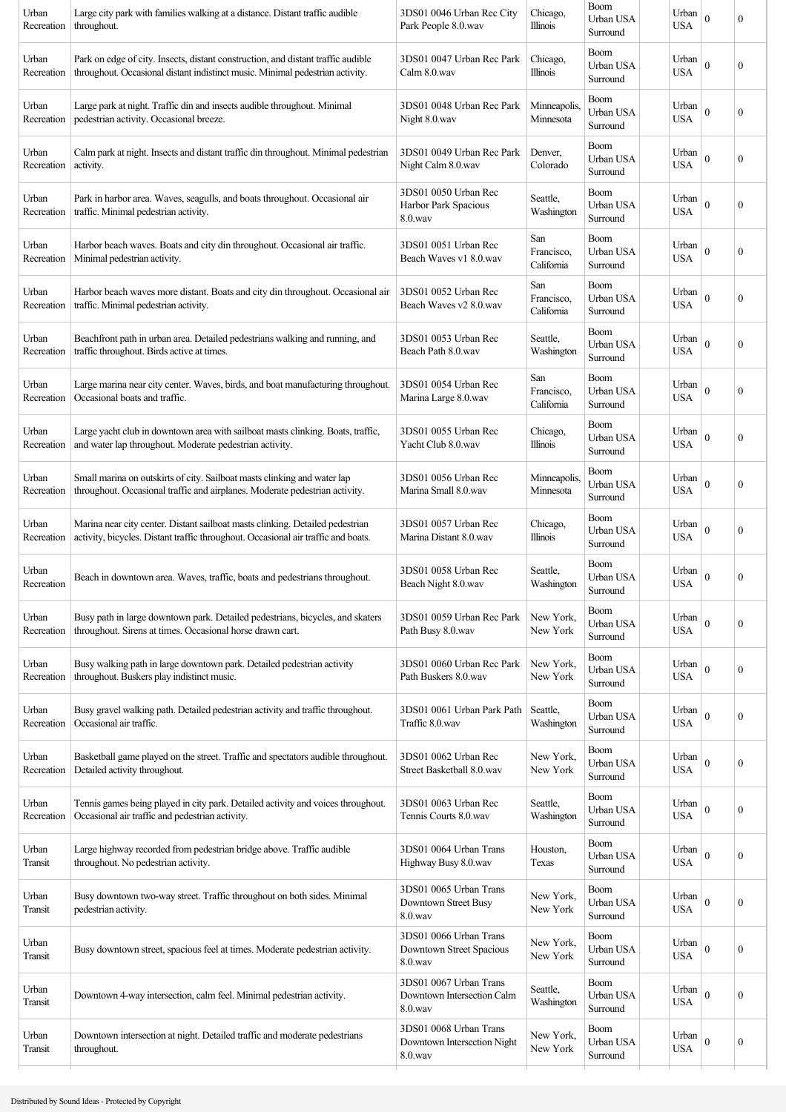| Urban<br>Recreation | Large city park with families walking at a distance. Distant traffic audible<br>throughout.                                                                        | 3DS01 0046 Urban Rec City<br>Park People 8.0.wav                 | Chicago,<br>Illinois            | <b>Boom</b><br>Urban USA<br>Surround | Urban<br>USA        | $\mathbf{0}$ | $\boldsymbol{0}$ |
|---------------------|--------------------------------------------------------------------------------------------------------------------------------------------------------------------|------------------------------------------------------------------|---------------------------------|--------------------------------------|---------------------|--------------|------------------|
| Urban<br>Recreation | Park on edge of city. Insects, distant construction, and distant traffic audible<br>throughout. Occasional distant indistinct music. Minimal pedestrian activity.  | 3DS01 0047 Urban Rec Park<br>Calm 8.0.wav                        | Chicago,<br>Illinois            | Boom<br>Urban USA<br>Surround        | Urban<br>USA        | $\mathbf{0}$ | $\boldsymbol{0}$ |
| Urban<br>Recreation | Large park at night. Traffic din and insects audible throughout. Minimal<br>pedestrian activity. Occasional breeze.                                                | 3DS01 0048 Urban Rec Park<br>Night 8.0.wav                       | Minneapolis.<br>Minnesota       | Boom<br>Urban USA<br>Surround        | Urban<br>USA        | $\mathbf{0}$ | 0                |
| Urban<br>Recreation | Calm park at night. Insects and distant traffic din throughout. Minimal pedestrian<br>activity.                                                                    | 3DS01 0049 Urban Rec Park<br>Night Calm 8.0.wav                  | Denver,<br>Colorado             | Boom<br>Urban USA<br>Surround        | Urban<br>USA        | $\mathbf{0}$ | $\boldsymbol{0}$ |
| Urban<br>Recreation | Park in harbor area. Waves, seagulls, and boats throughout. Occasional air<br>traffic. Minimal pedestrian activity.                                                | 3DS01 0050 Urban Rec<br>Harbor Park Spacious<br>$8.0$ .wav       | Seattle,<br>Washington          | Boom<br>Urban USA<br>Surround        | Urban<br><b>USA</b> | $\theta$     | $\boldsymbol{0}$ |
| Urban<br>Recreation | Harbor beach waves. Boats and city din throughout. Occasional air traffic.<br>Minimal pedestrian activity.                                                         | 3DS01 0051 Urban Rec<br>Beach Waves v1 8.0, way                  | San<br>Francisco,<br>California | Boom<br>Urban USA<br>Surround        | Urban<br><b>USA</b> | $\theta$     | 0                |
| Urban<br>Recreation | Harbor beach waves more distant. Boats and city din throughout. Occasional air<br>traffic. Minimal pedestrian activity.                                            | 3DS01 0052 Urban Rec<br>Beach Waves v2 8.0.wav                   | San<br>Francisco,<br>California | Boom<br>Urban USA<br>Surround        | Urban<br><b>USA</b> | $\theta$     | 0                |
| Urban<br>Recreation | Beachfront path in urban area. Detailed pedestrians walking and running, and<br>traffic throughout. Birds active at times.                                         | 3DS01 0053 Urban Rec<br>Beach Path 8.0.wav                       | Seattle,<br>Washington          | Boom<br>Urban USA<br>Surround        | Urban<br>USA        | $\theta$     | $\overline{0}$   |
| Urban<br>Recreation | Large marina near city center. Waves, birds, and boat manufacturing throughout.<br>Occasional boats and traffic.                                                   | 3DS01 0054 Urban Rec<br>Marina Large 8.0.wav                     | San<br>Francisco,<br>California | <b>Boom</b><br>Urban USA<br>Surround | Urban<br><b>USA</b> | $\mathbf{0}$ | $\boldsymbol{0}$ |
| Urban<br>Recreation | Large yacht club in downtown area with sailboat masts clinking. Boats, traffic,<br>and water lap throughout. Moderate pedestrian activity.                         | 3DS01 0055 Urban Rec<br>Yacht Club 8.0.wav                       | Chicago,<br>Illinois            | Boom<br>Urban USA<br>Surround        | Urban<br>USA        | $\mathbf{0}$ | 0                |
| Urban<br>Recreation | Small marina on outskirts of city. Sailboat masts clinking and water lap<br>throughout. Occasional traffic and airplanes. Moderate pedestrian activity.            | 3DS01 0056 Urban Rec<br>Marina Small 8.0.wav                     | Minneapolis.<br>Minnesota       | Boom<br>Urban USA<br>Surround        | Urban<br>USA        | $\mathbf{0}$ | 0                |
| Urban<br>Recreation | Marina near city center. Distant sailboat masts clinking. Detailed pedestrian<br>activity, bicycles. Distant traffic throughout. Occasional air traffic and boats. | 3DS01 0057 Urban Rec<br>Marina Distant 8.0.wav                   | Chicago,<br>Illinois            | Boom<br>Urban USA<br>Surround        | Urban<br>USA        | $\theta$     | 0                |
| Urban<br>Recreation | Beach in downtown area. Waves, traffic, boats and pedestrians throughout.                                                                                          | 3DS01 0058 Urban Rec<br>Beach Night 8.0.wav                      | Seattle,<br>Washington          | Boom<br>Urban USA<br>Surround        | Urban<br><b>USA</b> | $\theta$     | $\boldsymbol{0}$ |
| Urban<br>Recreation | Busy path in large downtown park. Detailed pedestrians, bicycles, and skaters<br>throughout. Sirens at times. Occasional horse drawn cart.                         | 3DS01 0059 Urban Rec Park<br>Path Busy 8.0.wav                   | New York,<br>New York           | Boom<br>Urban USA<br>Surround        | Urban<br><b>USA</b> | $\theta$     | 0                |
| Urban<br>Recreation | Busy walking path in large downtown park. Detailed pedestrian activity<br>throughout. Buskers play indistinct music.                                               | 3DS01 0060 Urban Rec Park<br>Path Buskers 8.0.wav                | New York,<br>New York           | <b>Boom</b><br>Urban USA<br>Surround | Urban<br><b>USA</b> | $\theta$     | $\boldsymbol{0}$ |
| Urban<br>Recreation | Busy gravel walking path. Detailed pedestrian activity and traffic throughout.<br>Occasional air traffic.                                                          | 3DS01 0061 Urban Park Path<br>Traffic 8.0.wav                    | Seattle,<br>Washington          | <b>Boom</b><br>Urban USA<br>Surround | Urban<br><b>USA</b> | $\theta$     | $\boldsymbol{0}$ |
| Urban<br>Recreation | Basketball game played on the street. Traffic and spectators audible throughout.<br>Detailed activity throughout.                                                  | 3DS01 0062 Urban Rec<br>Street Basketball 8.0.wav                | New York,<br>New York           | <b>Boom</b><br>Urban USA<br>Surround | Urban<br><b>USA</b> | $\mathbf{0}$ | $\boldsymbol{0}$ |
| Urban<br>Recreation | Tennis games being played in city park. Detailed activity and voices throughout.<br>Occasional air traffic and pedestrian activity.                                | 3DS01 0063 Urban Rec<br>Tennis Courts 8.0.wav                    | Seattle,<br>Washington          | Boom<br>Urban USA<br>Surround        | Urban<br><b>USA</b> | $\mathbf{0}$ | $\boldsymbol{0}$ |
| Urban<br>Transit    | Large highway recorded from pedestrian bridge above. Traffic audible<br>throughout. No pedestrian activity.                                                        | 3DS01 0064 Urban Trans<br>Highway Busy 8.0.wav                   | Houston,<br>Texas               | Boom<br>Urban USA<br>Surround        | Urban<br>USA        | $\mathbf{0}$ | $\boldsymbol{0}$ |
| Urban<br>Transit    | Busy downtown two-way street. Traffic throughout on both sides. Minimal<br>pedestrian activity.                                                                    | 3DS01 0065 Urban Trans<br>Downtown Street Busy<br>8.0.wav        | New York,<br>New York           | Boom<br>Urban USA<br>Surround        | Urban<br><b>USA</b> | $\mathbf{0}$ | 0                |
| Urban<br>Transit    | Busy downtown street, spacious feel at times. Moderate pedestrian activity.                                                                                        | 3DS01 0066 Urban Trans<br>Downtown Street Spacious<br>8.0.wav    | New York,<br>New York           | Boom<br>Urban USA<br>Surround        | Urban<br><b>USA</b> | $\theta$     | $\boldsymbol{0}$ |
| Urban<br>Transit    | Downtown 4-way intersection, calm feel. Minimal pedestrian activity.                                                                                               | 3DS01 0067 Urban Trans<br>Downtown Intersection Calm<br>8.0.wav  | Seattle,<br>Washington          | Boom<br>Urban USA<br>Surround        | Urban<br><b>USA</b> | $\theta$     | 0                |
| Urban<br>Transit    | Downtown intersection at night. Detailed traffic and moderate pedestrians<br>throughout.                                                                           | 3DS01 0068 Urban Trans<br>Downtown Intersection Night<br>8.0.wav | New York,<br>New York           | Boom<br>Urban USA<br>Surround        | Urban<br><b>USA</b> | $\theta$     | $\boldsymbol{0}$ |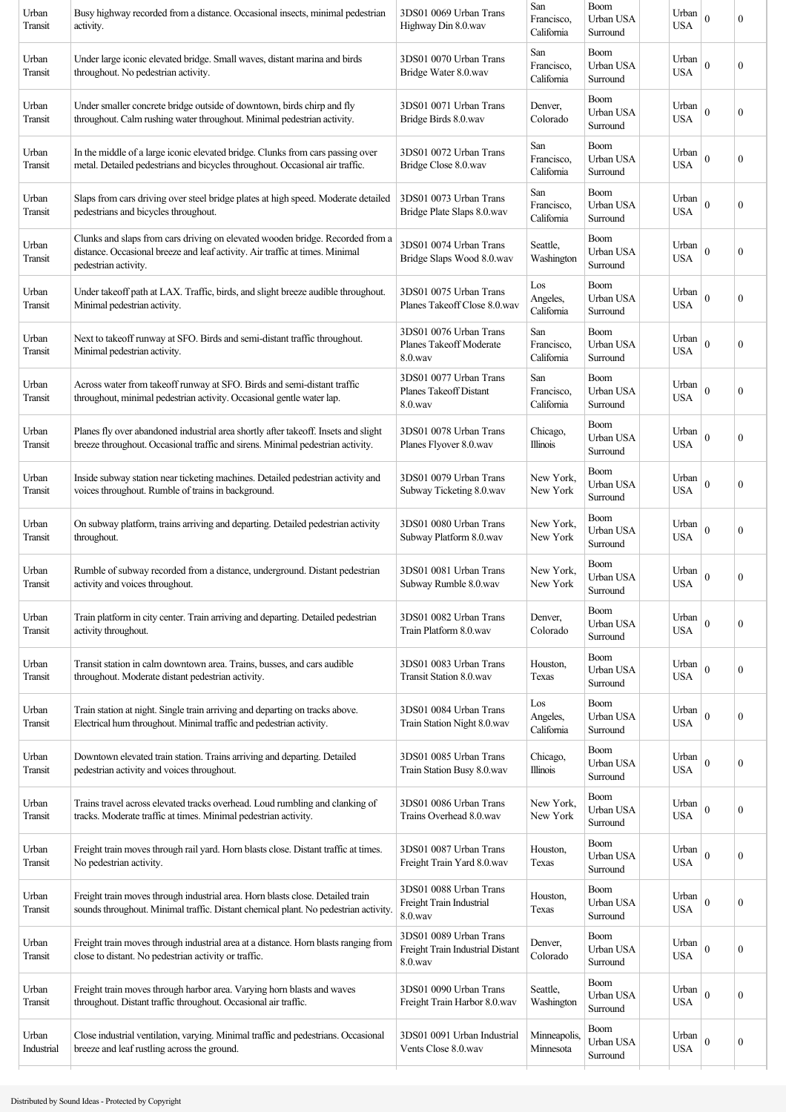|                     |                                                                                                                                                                                       |                                                                       | California                      | Surround                             | USA                 |                  | $\boldsymbol{0}$ |
|---------------------|---------------------------------------------------------------------------------------------------------------------------------------------------------------------------------------|-----------------------------------------------------------------------|---------------------------------|--------------------------------------|---------------------|------------------|------------------|
| Urban<br>Transit    | Under large iconic elevated bridge. Small waves, distant marina and birds<br>throughout. No pedestrian activity.                                                                      | 3DS01 0070 Urban Trans<br>Bridge Water 8.0.wav                        | San<br>Francisco,<br>California | <b>Boom</b><br>Urban USA<br>Surround | Urban<br><b>USA</b> | $\mathbf{0}$     | $\boldsymbol{0}$ |
| Urban<br>Transit    | Under smaller concrete bridge outside of downtown, birds chirp and fly<br>throughout. Calm rushing water throughout. Minimal pedestrian activity.                                     | 3DS01 0071 Urban Trans<br>Bridge Birds 8.0.wav                        | Denver,<br>Colorado             | Boom<br>Urban USA<br>Surround        | Urban<br><b>USA</b> | $\mathbf{0}$     | $\boldsymbol{0}$ |
| Urban<br>Transit    | In the middle of a large iconic elevated bridge. Clunks from cars passing over<br>metal. Detailed pedestrians and bicycles throughout. Occasional air traffic.                        | 3DS01 0072 Urban Trans<br>Bridge Close 8.0.wav                        | San<br>Francisco,<br>California | <b>Boom</b><br>Urban USA<br>Surround | Urban<br>USA        | $\mathbf{0}$     | $\boldsymbol{0}$ |
| Urban<br>Transit    | Slaps from cars driving over steel bridge plates at high speed. Moderate detailed<br>pedestrians and bicycles throughout.                                                             | 3DS01 0073 Urban Trans<br>Bridge Plate Slaps 8.0.wav                  | San<br>Francisco,<br>California | Boom<br>Urban USA<br>Surround        | Urban<br>USA        | $\boldsymbol{0}$ | $\boldsymbol{0}$ |
| Urban<br>Transit    | Clunks and slaps from cars driving on elevated wooden bridge. Recorded from a<br>distance. Occasional breeze and leaf activity. Air traffic at times. Minimal<br>pedestrian activity. | 3DS01 0074 Urban Trans<br>Bridge Slaps Wood 8.0.wav                   | Seattle,<br>Washington          | Boom<br>Urban USA<br>Surround        | Urban<br><b>USA</b> | $\theta$         | $\boldsymbol{0}$ |
| Urban<br>Transit    | Under takeoff path at LAX. Traffic, birds, and slight breeze audible throughout.<br>Minimal pedestrian activity.                                                                      | 3DS01 0075 Urban Trans<br>Planes Takeoff Close 8.0.wav                | Los<br>Angeles,<br>California   | Boom<br>Urban USA<br>Surround        | Urban<br><b>USA</b> | $\theta$         | $\boldsymbol{0}$ |
| Urban<br>Transit    | Next to takeoff runway at SFO. Birds and semi-distant traffic throughout.<br>Minimal pedestrian activity.                                                                             | 3DS01 0076 Urban Trans<br>Planes Takeoff Moderate<br>$8.0$ .wav       | San<br>Francisco,<br>California | Boom<br>Urban USA<br>Surround        | Urban<br><b>USA</b> | $\mathbf{0}$     | 0                |
| Urban<br>Transit    | Across water from takeoff runway at SFO. Birds and semi-distant traffic<br>throughout, minimal pedestrian activity. Occasional gentle water lap.                                      | 3DS01 0077 Urban Trans<br>Planes Takeoff Distant<br>$8.0$ .wav        | San<br>Francisco,<br>California | Boom<br>Urban USA<br>Surround        | Urban<br><b>USA</b> | $\mathbf{0}$     | $\mathbf{0}$     |
| Urban<br>Transit    | Planes fly over abandoned industrial area shortly after takeoff. Insets and slight<br>breeze throughout. Occasional traffic and sirens. Minimal pedestrian activity.                  | 3DS01 0078 Urban Trans<br>Planes Flyover 8.0.wav                      | Chicago,<br><b>Illinois</b>     | Boom<br>Urban USA<br>Surround        | Urban<br><b>USA</b> | $\mathbf{0}$     | $\boldsymbol{0}$ |
| Urban<br>Transit    | Inside subway station near ticketing machines. Detailed pedestrian activity and<br>voices throughout. Rumble of trains in background.                                                 | 3DS01 0079 Urban Trans<br>Subway Ticketing 8.0.wav                    | New York,<br>New York           | Boom<br>Urban USA<br>Surround        | Urban<br><b>USA</b> | $\mathbf{0}$     | $\boldsymbol{0}$ |
| Urban<br>Transit    | On subway platform, trains arriving and departing. Detailed pedestrian activity<br>throughout.                                                                                        | 3DS01 0080 Urban Trans<br>Subway Platform 8.0.wav                     | New York,<br>New York           | Boom<br>Urban USA<br>Surround        | Urban<br>USA        | $\mathbf{0}$     | $\boldsymbol{0}$ |
| Urban<br>Transit    | Rumble of subway recorded from a distance, underground. Distant pedestrian<br>activity and voices throughout.                                                                         | 3DS01 0081 Urban Trans<br>Subway Rumble 8.0.wav                       | New York,<br>New York           | Boom<br>Urban USA<br>Surround        | Urban<br><b>USA</b> | $\mathbf{0}$     | $\boldsymbol{0}$ |
| Urban<br>Transit    | Train platform in city center. Train arriving and departing. Detailed pedestrian<br>activity throughout.                                                                              | 3DS01 0082 Urban Trans<br>Train Platform 8.0.wav                      | Denver,<br>Colorado             | Boom<br>Urban USA<br>Surround        | Urban<br><b>USA</b> | $\theta$         | $\boldsymbol{0}$ |
| Urban<br>Transit    | Transit station in calm downtown area. Trains, busses, and cars audible<br>throughout. Moderate distant pedestrian activity.                                                          | 3DS01 0083 Urban Trans<br><b>Transit Station 8.0.wav</b>              | Houston,<br>Texas               | Boom<br>Urban USA<br>Surround        | Urban<br><b>USA</b> | $\theta$         | $\boldsymbol{0}$ |
| Urban<br>Transit    | Train station at night. Single train arriving and departing on tracks above.<br>Electrical hum throughout. Minimal traffic and pedestrian activity.                                   | 3DS01 0084 Urban Trans<br>Train Station Night 8.0.wav                 | Los<br>Angeles,<br>California   | <b>Boom</b><br>Urban USA<br>Surround | Urban<br><b>USA</b> | $\theta$         | $\boldsymbol{0}$ |
| Urban<br>Transit    | Downtown elevated train station. Trains arriving and departing. Detailed<br>pedestrian activity and voices throughout.                                                                | 3DS01 0085 Urban Trans<br>Train Station Busy 8.0.wav                  | Chicago,<br>Illinois            | Boom<br>Urban USA<br>Surround        | Urban<br><b>USA</b> | $\theta$         | $\boldsymbol{0}$ |
| Urban<br>Transit    | Trains travel across elevated tracks overhead. Loud rumbling and clanking of<br>tracks. Moderate traffic at times. Minimal pedestrian activity.                                       | 3DS01 0086 Urban Trans<br>Trains Overhead 8.0.wav                     | New York,<br>New York           | Boom<br>Urban USA<br>Surround        | Urban<br><b>USA</b> | $\mathbf{0}$     | $\boldsymbol{0}$ |
| Urban<br>Transit    | Freight train moves through rail yard. Horn blasts close. Distant traffic at times.<br>No pedestrian activity.                                                                        | 3DS01 0087 Urban Trans<br>Freight Train Yard 8.0.wav                  | Houston,<br>Texas               | <b>Boom</b><br>Urban USA<br>Surround | Urban<br><b>USA</b> | $\mathbf{0}$     | $\boldsymbol{0}$ |
| Urban<br>Transit    | Freight train moves through industrial area. Horn blasts close. Detailed train<br>sounds throughout. Minimal traffic. Distant chemical plant. No pedestrian activity.                 | 3DS01 0088 Urban Trans<br>Freight Train Industrial<br>8.0.wav         | Houston,<br>Texas               | Boom<br>Urban USA<br>Surround        | Urban<br>USA        | $\mathbf{0}$     | $\boldsymbol{0}$ |
| Urban<br>Transit    | Freight train moves through industrial area at a distance. Horn blasts ranging from<br>close to distant. No pedestrian activity or traffic.                                           | 3DS01 0089 Urban Trans<br>Freight Train Industrial Distant<br>8.0.wav | Denver,<br>Colorado             | <b>Boom</b><br>Urban USA<br>Surround | Urban<br><b>USA</b> | $\theta$         | $\boldsymbol{0}$ |
| Urban<br>Transit    | Freight train moves through harbor area. Varying horn blasts and waves<br>throughout. Distant traffic throughout. Occasional air traffic.                                             | 3DS01 0090 Urban Trans<br>Freight Train Harbor 8.0.wav                | Seattle,<br>Washington          | Boom<br>Urban USA<br>Surround        | Urban<br><b>USA</b> | $\theta$         | $\boldsymbol{0}$ |
| Urban<br>Industrial | Close industrial ventilation, varying. Minimal traffic and pedestrians. Occasional<br>breeze and leaf rustling across the ground.                                                     | 3DS01 0091 Urban Industrial<br>Vents Close 8.0.wav                    | Minneapolis.<br>Minnesota       | Boom<br>Urban USA<br>Surround        | Urban<br><b>USA</b> | $\theta$         | $\boldsymbol{0}$ |